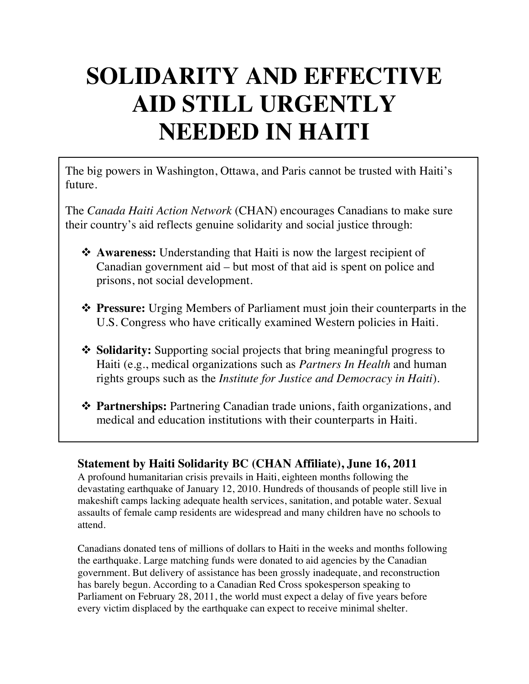## **SOLIDARITY AND EFFECTIVE AID STILL URGENTLY NEEDED IN HAITI**

The big powers in Washington, Ottawa, and Paris cannot be trusted with Haiti's future.

The *Canada Haiti Action Network* (CHAN) encourages Canadians to make sure their country's aid reflects genuine solidarity and social justice through:

- **◆ Awareness:** Understanding that Haiti is now the largest recipient of Canadian government aid – but most of that aid is spent on police and prisons, not social development.
- **❖ Pressure:** Urging Members of Parliament must join their counterparts in the U.S. Congress who have critically examined Western policies in Haiti.
- **❖ Solidarity:** Supporting social projects that bring meaningful progress to Haiti (e.g., medical organizations such as *Partners In Health* and human rights groups such as the *Institute for Justice and Democracy in Haiti*).
- **❖ Partnerships:** Partnering Canadian trade unions, faith organizations, and medical and education institutions with their counterparts in Haiti.

## **Statement by Haiti Solidarity BC (CHAN Affiliate), June 16, 2011**

A profound humanitarian crisis prevails in Haiti, eighteen months following the devastating earthquake of January 12, 2010. Hundreds of thousands of people still live in makeshift camps lacking adequate health services, sanitation, and potable water. Sexual assaults of female camp residents are widespread and many children have no schools to attend.

Canadians donated tens of millions of dollars to Haiti in the weeks and months following the earthquake. Large matching funds were donated to aid agencies by the Canadian government. But delivery of assistance has been grossly inadequate, and reconstruction has barely begun. According to a Canadian Red Cross spokesperson speaking to Parliament on February 28, 2011, the world must expect a delay of five years before every victim displaced by the earthquake can expect to receive minimal shelter.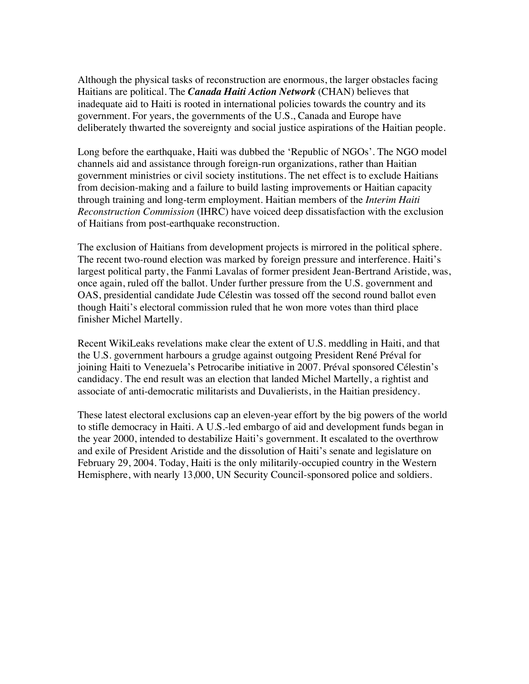Although the physical tasks of reconstruction are enormous, the larger obstacles facing Haitians are political. The *Canada Haiti Action Network* (CHAN) believes that inadequate aid to Haiti is rooted in international policies towards the country and its government. For years, the governments of the U.S., Canada and Europe have deliberately thwarted the sovereignty and social justice aspirations of the Haitian people.

Long before the earthquake, Haiti was dubbed the 'Republic of NGOs'. The NGO model channels aid and assistance through foreign-run organizations, rather than Haitian government ministries or civil society institutions. The net effect is to exclude Haitians from decision-making and a failure to build lasting improvements or Haitian capacity through training and long-term employment. Haitian members of the *Interim Haiti Reconstruction Commission* (IHRC) have voiced deep dissatisfaction with the exclusion of Haitians from post-earthquake reconstruction.

The exclusion of Haitians from development projects is mirrored in the political sphere. The recent two-round election was marked by foreign pressure and interference. Haiti's largest political party, the Fanmi Lavalas of former president Jean-Bertrand Aristide, was, once again, ruled off the ballot. Under further pressure from the U.S. government and OAS, presidential candidate Jude Célestin was tossed off the second round ballot even though Haiti's electoral commission ruled that he won more votes than third place finisher Michel Martelly.

Recent WikiLeaks revelations make clear the extent of U.S. meddling in Haiti, and that the U.S. government harbours a grudge against outgoing President René Préval for joining Haiti to Venezuela's Petrocaribe initiative in 2007. Préval sponsored Célestin's candidacy. The end result was an election that landed Michel Martelly, a rightist and associate of anti-democratic militarists and Duvalierists, in the Haitian presidency.

These latest electoral exclusions cap an eleven-year effort by the big powers of the world to stifle democracy in Haiti. A U.S.-led embargo of aid and development funds began in the year 2000, intended to destabilize Haiti's government. It escalated to the overthrow and exile of President Aristide and the dissolution of Haiti's senate and legislature on February 29, 2004. Today, Haiti is the only militarily-occupied country in the Western Hemisphere, with nearly 13,000, UN Security Council-sponsored police and soldiers.